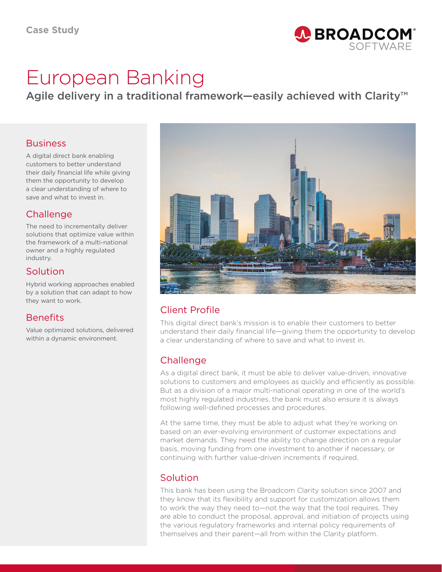

# European Banking

Agile delivery in a traditional framework—easily achieved with Clarity™

#### **Business**

A digital direct bank enabling customers to better understand their daily financial life while giving them the opportunity to develop a clear understanding of where to save and what to invest in.

# **Challenge**

The need to incrementally deliver solutions that optimize value within the framework of a multi-national owner and a highly regulated industry.

## Solution

Hybrid working approaches enabled by a solution that can adapt to how they want to work.

## **Benefits**

Value optimized solutions, delivered within a dynamic environment.



# Client Profile

This digital direct bank's mission is to enable their customers to better understand their daily financial life—giving them the opportunity to develop a clear understanding of where to save and what to invest in.

## **Challenge**

As a digital direct bank, it must be able to deliver value-driven, innovative solutions to customers and employees as quickly and efficiently as possible. But as a division of a major multi-national operating in one of the world's most highly regulated industries, the bank must also ensure it is always following well-defined processes and procedures.

At the same time, they must be able to adjust what they're working on based on an ever-evolving environment of customer expectations and market demands. They need the ability to change direction on a regular basis, moving funding from one investment to another if necessary, or continuing with further value-driven increments if required.

## Solution

This bank has been using the Broadcom Clarity solution since 2007 and they know that its flexibility and support for customization allows them to work the way they need to—not the way that the tool requires. They are able to conduct the proposal, approval, and initiation of projects using the various regulatory frameworks and internal policy requirements of themselves and their parent—all from within the Clarity platform.